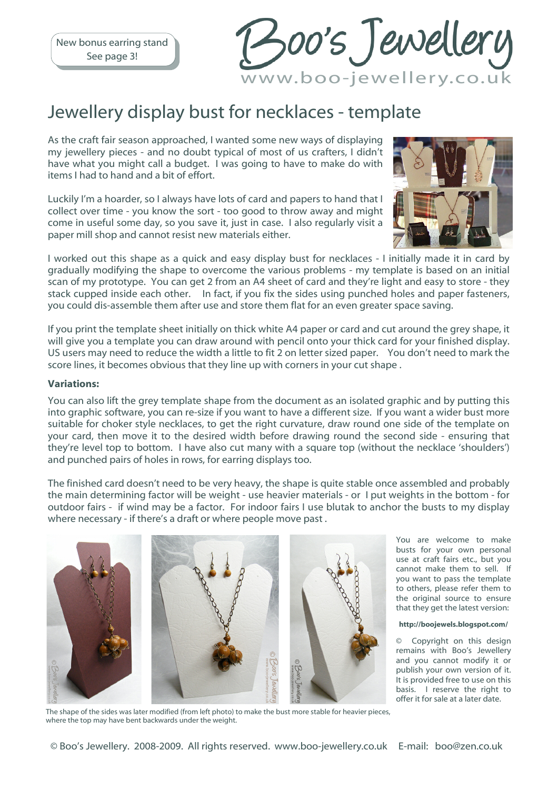New bonus earring stand See page 3!

Boo's Jewellery www.boo-jewellery.co.uk

### Jewellery display bust for necklaces - template

As the craft fair season approached, I wanted some new ways of displaying my jewellery pieces - and no doubt typical of most of us crafters, I didn't have what you might call a budget. I was going to have to make do with items I had to hand and a bit of effort.

Luckily I'm a hoarder, so I always have lots of card and papers to hand that I collect over time - you know the sort - too good to throw away and might come in useful some day, so you save it, just in case. I also regularly visit a paper mill shop and cannot resist new materials either.



I worked out this shape as a quick and easy display bust for necklaces - I initially made it in card by gradually modifying the shape to overcome the various problems - my template is based on an initial scan of my prototype. You can get 2 from an A4 sheet of card and they're light and easy to store - they stack cupped inside each other. In fact, if you fix the sides using punched holes and paper fasteners, you could dis-assemble them after use and store them flat for an even greater space saving.

If you print the template sheet initially on thick white A4 paper or card and cut around the grey shape, it will give you a template you can draw around with pencil onto your thick card for your finished display. US users may need to reduce the width a little to fit 2 on letter sized paper. You don't need to mark the score lines, it becomes obvious that they line up with corners in your cut shape .

#### Variations:

You can also lift the grey template shape from the document as an isolated graphic and by putting this into graphic software, you can re-size if you want to have a different size. If you want a wider bust more suitable for choker style necklaces, to get the right curvature, draw round one side of the template on your card, then move it to the desired width before drawing round the second side - ensuring that they're level top to bottom. I have also cut many with a square top (without the necklace 'shoulders') and punched pairs of holes in rows, for earring displays too.

The finished card doesn't need to be very heavy, the shape is quite stable once assembled and probably the main determining factor will be weight - use heavier materials - or I put weights in the bottom - for outdoor fairs - if wind may be a factor. For indoor fairs I use blutak to anchor the busts to my display where necessary - if there's a draft or where people move past .



The shape of the sides was later modified (from left photo) to make the bust more stable for heavier pieces, where the top may have bent backwards under the weight.

You are welcome to make busts for your own personal use at craft fairs etc., but you cannot make them to sell. If you want to pass the template to others, please refer them to the original source to ensure that they get the latest version:

#### http://boojewels.blogspot.com/

© Copyright on this design remains with Boo's Jewellery and you cannot modify it or publish your own version of it. It is provided free to use on this basis. I reserve the right to offer it for sale at a later date.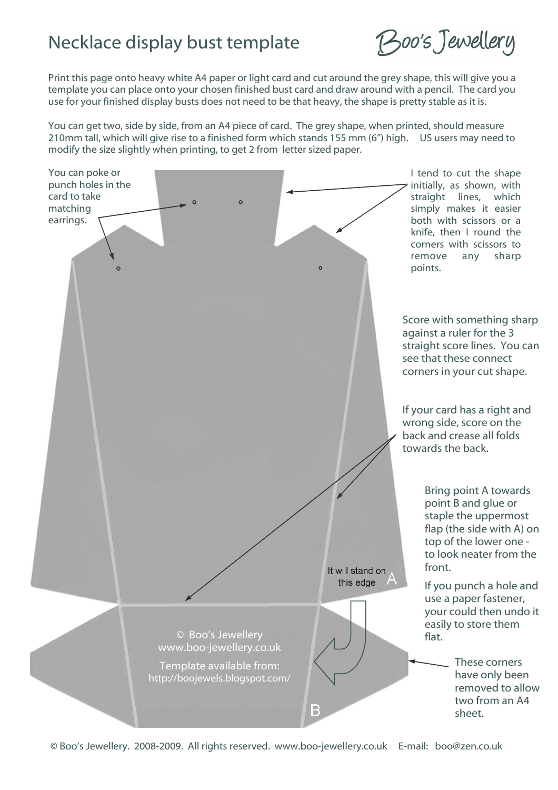## Necklace display bust template

Boo's Jewellery

Print this page onto heavy white A4 paper or light card and cut around the grey shape, this will give you a template you can place onto your chosen finished bust card and draw around with a pencil. The card you use for your finished display busts does not need to be that heavy, the shape is pretty stable as it is.

You can get two, side by side, from an A4 piece of card. The grey shape, when printed, should measure 210mm tall, which will give rise to a finished form which stands 155 mm (6") high. US users may need to modify the size slightly when printing, to get 2 from letter sized paper.